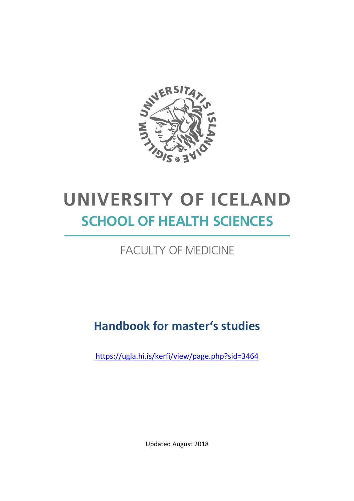

# UNIVERSITY OF ICELAND **SCHOOL OF HEALTH SCIENCES**

# **FACULTY OF MEDICINE**

# Handbook for master's studies

https://ugla.hi.is/kerfi/view/page.php?sid=3464

Updated August 2018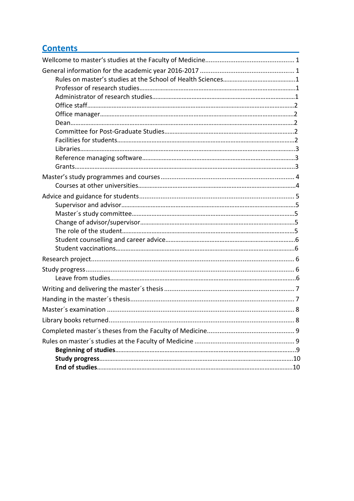# **Contents**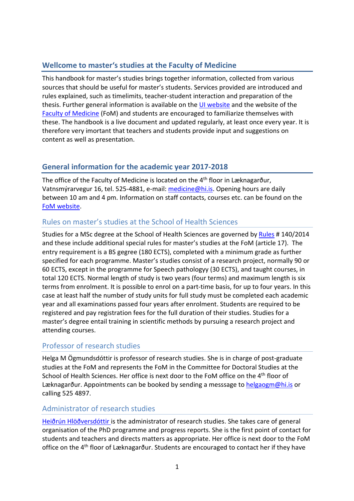# Wellcome to master's studies at the Faculty of Medicine

This handbook for master's studies brings together information, collected from various sources that should be useful for master's students. Services provided are introduced and rules explained, such as timelimits, teacher-student interaction and preparation of the thesis. Further general information is available on the UI website and the website of the Faculty of Medicine (FoM) and students are encouraged to familiarize themselves with these. The handbook is a live document and updated regularly, at least once every year. It is therefore very imortant that teachers and students provide input and suggestions on content as well as presentation.

# General information for the academic year 2017-2018

The office of the Faculty of Medicine is located on the 4th floor in Læknagarður, Vatnsmýrarvegur 16, tel. 525-4881, e-mail: medicine@hi.is. Opening hours are daily between 10 am and 4 pm. Information on staff contacts, courses etc. can be found on the FoM website.

# Rules on master's studies at the School of Health Sciences

Studies for a MSc degree at the School of Health Sciences are governed by Rules # 140/2014 and these include additional special rules for master's studies at the FoM (article 17). The entry requirement is a BS gegree (180 ECTS), completed with a minimum grade as further specified for each programme. Master's studies consist of a research project, normally 90 or 60 ECTS, except in the programme for Speech pathologyy (30 ECTS), and taught courses, in total 120 ECTS. Normal length of study is two years (four terms) and maximum length is six terms from enrolment. It is possible to enrol on a part-time basis, for up to four years. In this case at least half the number of study units for full study must be completed each academic year and all examinations passed four years after enrolment. Students are required to be registered and pay registration fees for the full duration of their studies. Studies for a master's degree entail training in scientific methods by pursuing a research project and attending courses.

# Professor of research studies

Helga M Ögmundsdóttir is professor of research studies. She is in charge of post-graduate studies at the FoM and represents the FoM in the Committee for Doctoral Studies at the School of Health Sciences. Her office is next door to the FoM office on the 4<sup>th</sup> floor of Læknagarður. Appointments can be booked by sending a messsage to helgaogm@hi.is or calling 525 4897.

# Administrator of research studies

Heiðrún Hlöðversdóttir is the administrator of research studies. She takes care of general organisation of the PhD programme and progress reports. She is the first point of contact for students and teachers and directs matters as appropriate. Her office is next door to the FoM office on the 4th floor of Læknagarður. Students are encouraged to contact her if they have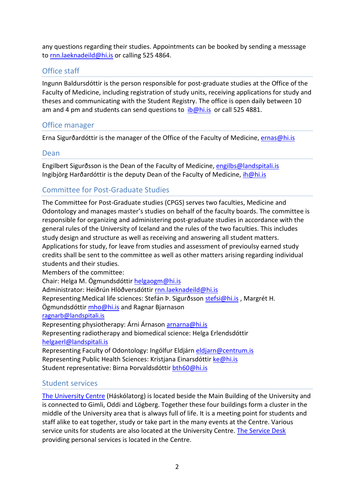any questions regarding their studies. Appointments can be booked by sending a messsage to rnn.laeknadeild@hi.is or calling 525 4864.

#### Office staff

Ingunn Baldursdóttir is the person responsible for post-graduate studies at the Office of the Faculty of Medicine, including registration of study units, receiving applications for study and theses and communicating with the Student Registry. The office is open daily between 10 am and 4 pm and students can send questions to *ib*@hi.is or call 525 4881.

#### Office manager

Erna Sigurðardóttir is the manager of the Office of the Faculty of Medicine, ernas@hi.is

#### Dean

Engilbert Sigurðsson is the Dean of the Faculty of Medicine, engilbs@landspitali.is Ingibjörg Harðardóttir is the deputy Dean of the Faculty of Medicine, ih@hi.is

#### Committee for Post-Graduate Studies

The Committee for Post-Graduate studies (CPGS) serves two faculties, Medicine and Odontology and manages master's studies on behalf of the faculty boards. The committee is responsible for organizing and administering post-graduate studies in accordance with the general rules of the University of Iceland and the rules of the two faculties. This includes study design and structure as well as receiving and answering all student matters. Applications for study, for leave from studies and assessment of previoulsy earned study credits shall be sent to the committee as well as other matters arising regarding individual students and their studies.

Members of the committee:

Chair: Helga M. Ögmundsdóttir helgaogm@hi.is

Administrator: Heiðrún Hlöðversdóttir rnn.laeknadeild@hi.is

Representing Medical life sciences: Stefán Þ. Sigurðsson stefsi@hi.is , Margrét H.

Ögmundsdóttir mho@hi.is and Ragnar Bjarnason

ragnarb@landspitali.is

Representing physiotherapy: Árni Árnason arnarna@hi.is

Representing radiotherapy and biomedical science: Helga Erlendsdóttir helgaerl@landspitali.is

Representing Faculty of Odontology: Ingólfur Eldjárn eldjarn@centrum.is Representing Public Health Sciences: Kristjana Einarsdóttir ke@hi.is Student representative: Birna Þorvaldsdóttir bth60@hi.is

#### Student services

The University Centre (Háskólatorg) is located beside the Main Building of the University and is connected to Gimli, Oddi and Lögberg. Together these four buildings form a cluster in the middle of the University area that is always full of life. It is a meeting point for students and staff alike to eat together, study or take part in the many events at the Centre. Various service units for students are also located at the University Centre. The Service Desk providing personal services is located in the Centre.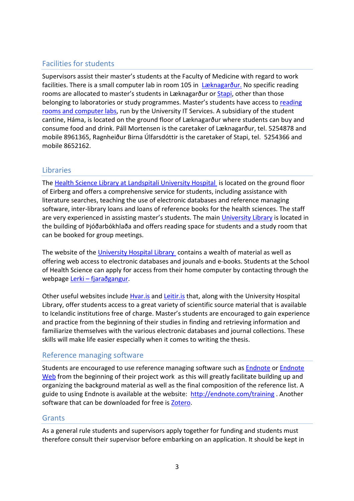# Facilities for students

Supervisors assist their master's students at the Faculty of Medicine with regard to work facilities. There is a small computer lab in room 105 in Læknagarður. No specific reading rooms are allocated to master's students in Læknagarður or Stapi, other than those belonging to laboratories or study programmes. Master's students have access to reading rooms and computer labs, run by the University IT Services. A subsidiary of the student cantine, Háma, is located on the ground floor of Læknagarður where students can buy and consume food and drink. Páll Mortensen is the caretaker of Læknagarður, tel. 5254878 and mobile 8961365, Ragnheiður Birna Úlfarsdóttir is the caretaker of Stapi, tel. 5254366 and mobile 8652162.

# Libraries

The Health Science Library at Landspitali University Hospital is located on the ground floor of Eirberg and offers a comprehensive service for students, including assistance with literature searches, teaching the use of electronic databases and reference managing software, inter-library loans and loans of reference books for the health sciences. The staff are very experienced in assisting master's students. The main University Library is located in the building of Þjóðarbókhlaða and offers reading space for students and a study room that can be booked for group meetings.

The website of the University Hospital Library contains a wealth of material as well as offering web access to electronic databases and jounals and e-books. Students at the School of Health Science can apply for access from their home computer by contacting through the webpage Lerki – fjaraðgangur.

Other useful websites include Hvar.is and Leitir.is that, along with the University Hospital Library, offer students access to a great variety of scientific source material that is available to Icelandic institutions free of charge. Master's students are encouraged to gain experience and practice from the beginning of their studies in finding and retrieving information and familiarize themselves with the various electronic databases and journal collections. These skills will make life easier especially when it comes to writing the thesis.

# Reference managing software

Students are encouraged to use reference managing software such as Endnote or Endnote Web from the beginning of their project work as this will greatly facilitate building up and organizing the background material as well as the final composition of the reference list. A guide to using Endnote is available at the website: http://endnote.com/training . Another software that can be downloaded for free is Zotero.

#### **Grants**

As a general rule students and supervisors apply together for funding and students must therefore consult their supervisor before embarking on an application. It should be kept in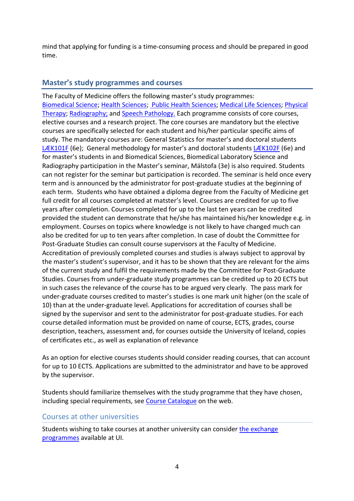mind that applying for funding is a time-consuming process and should be prepared in good time.

#### Master's study programmes and courses

The Faculty of Medicine offers the following master's study programmes: Biomedical Science; Health Sciences; Public Health Sciences; Medical Life Sciences; Physical Therapy; Radiography; and Speech Pathology. Each programme consists of core courses, elective courses and a research project. The core courses are mandatory but the elective courses are specifically selected for each student and his/her particular specific aims of study. The mandatory courses are: General Statistics for master's and doctoral students LÆK101F (6e); General methodology for master's and doctoral students LÆK102F (6e) and for master's students in and Biomedical Sciences, Biomedical Laboratory Science and Radiography participation in the Master's seminar, Málstofa (3e) is also required. Students can not register for the seminar but participation is recorded. The seminar is held once every term and is announced by the administrator for post-graduate studies at the beginning of each term. Students who have obtained a diploma degree from the Faculty of Medicine get full credit for all courses completed at matster's level. Courses are credited for up to five years after completion. Courses completed for up to the last ten years can be credited provided the student can demonstrate that he/she has maintained his/her knowledge e.g. in employment. Courses on topics where knowledge is not likely to have changed much can also be credited for up to ten years after completion. In case of doubt the Committee for Post-Graduate Studies can consult course supervisors at the Faculty of Medicine. Accreditation of previously completed courses and studies is always subject to approval by the master's student's supervisor, and it has to be shown that they are relevant for the aims of the current study and fulfil the requirements made by the Committee for Post-Graduate Studies. Courses from under-graduate study programmes can be credited up to 20 ECTS but in such cases the relevance of the course has to be argued very clearly. The pass mark for under-graduate courses credited to master's studies is one mark unit higher (on the scale of 10) than at the under-graduate level. Applications for accreditation of courses shall be signed by the supervisor and sent to the administrator for post-graduate studies. For each course detailed information must be provided on name of course, ECTS, grades, course description, teachers, assessment and, for courses outside the University of Iceland, copies of certificates etc., as well as explanation of relevance

As an option for elective courses students should consider reading courses, that can account for up to 10 ECTS. Applications are submitted to the administrator and have to be approved by the supervisor.

Students should familiarize themselves with the study programme that they have chosen, including special requirements, see Course Catalogue on the web.

#### Courses at other universities

Students wishing to take courses at another university can consider the exchange programmes available at UI.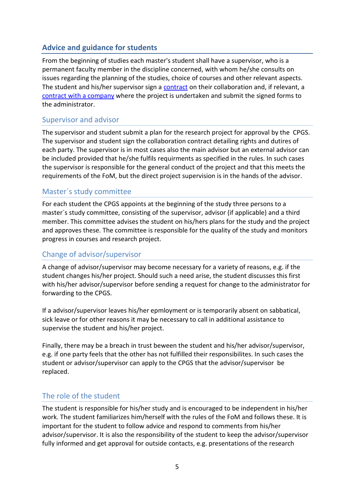# Advice and guidance for students

From the beginning of studies each master's student shall have a supervisor, who is a permanent faculty member in the discipline concerned, with whom he/she consults on issues regarding the planning of the studies, choice of courses and other relevant aspects. The student and his/her supervisor sign a contract on their collaboration and, if relevant, a contract with a company where the project is undertaken and submit the signed forms to the administrator.

#### Supervisor and advisor

The supervisor and student submit a plan for the research project for approval by the CPGS. The supervisor and student sign the collaboration contract detailing rights and dutires of each party. The supervisor is in most cases also the main advisor but an external advisor can be included provided that he/she fulfils requirments as specified in the rules. In such cases the supervisor is responsible for the general conduct of the project and that this meets the requirements of the FoM, but the direct project supervision is in the hands of the advisor.

#### Master´s study committee

For each student the CPGS appoints at the beginning of the study three persons to a master´s study committee, consisting of the supervisor, advisor (if applicable) and a third member. This committee advises the student on his/hers plans for the study and the project and approves these. The committee is responsible for the quality of the study and monitors progress in courses and research project.

#### Change of advisor/supervisor

A change of advisor/supervisor may become necessary for a variety of reasons, e.g. if the student changes his/her project. Should such a need arise, the student discusses this first with his/her advisor/supervisor before sending a request for change to the administrator for forwarding to the CPGS.

If a advisor/supervisor leaves his/her epmloyment or is temporarily absent on sabbatical, sick leave or for other reasons it may be necessary to call in additional assistance to supervise the student and his/her project.

Finally, there may be a breach in trust beween the student and his/her advisor/supervisor, e.g. if one party feels that the other has not fulfilled their responsibilites. In such cases the student or advisor/supervisor can apply to the CPGS that the advisor/supervisor be replaced.

#### The role of the student

The student is responsible for his/her study and is encouraged to be independent in his/her work. The student familiarizes him/herself with the rules of the FoM and follows these. It is important for the student to follow advice and respond to comments from his/her advisor/supervisor. It is also the responsibility of the student to keep the advisor/supervisor fully informed and get approval for outside contacts, e.g. presentations of the research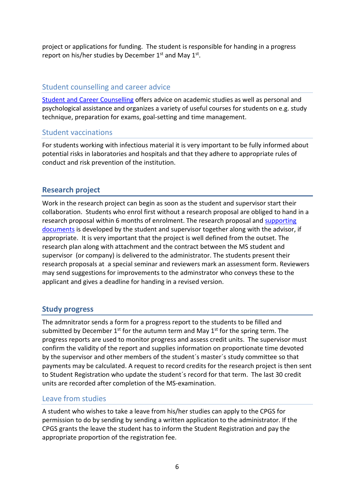project or applications for funding. The student is responsible for handing in a progress report on his/her studies by December  $1^{st}$  and May  $1^{st}$ .

#### Student counselling and career advice

Student and Career Counselling offers advice on academic studies as well as personal and psychological assistance and organizes a variety of useful courses for students on e.g. study technique, preparation for exams, goal-setting and time management.

#### Student vaccinations

For students working with infectious material it is very important to be fully informed about potential risks in laboratories and hospitals and that they adhere to appropriate rules of conduct and risk prevention of the institution.

#### Research project

Work in the research project can begin as soon as the student and supervisor start their collaboration. Students who enrol first without a research proposal are obliged to hand in a research proposal within 6 months of enrolment. The research proposal and supporting documents is developed by the student and supervisor together along with the advisor, if appropriate. It is very important that the project is well defined from the outset. The research plan along with attachment and the contract between the MS student and supervisor (or company) is delivered to the administrator. The students present their research proposals at a special seminar and reviewers mark an assessment form. Reviewers may send suggestions for improvements to the adminstrator who conveys these to the applicant and gives a deadline for handing in a revised version.

#### Study progress

The admnitrator sends a form for a progress report to the students to be filled and submitted by December  $1<sup>st</sup>$  for the autumn term and May  $1<sup>st</sup>$  for the spring term. The progress reports are used to monitor progress and assess credit units. The supervisor must confirm the validity of the report and supplies information on proportionate time devoted by the supervisor and other members of the student´s master´s study committee so that payments may be calculated. A request to record credits for the research project is then sent to Student Registration who update the student´s record for that term. The last 30 credit units are recorded after completion of the MS-examination.

#### Leave from studies

A student who wishes to take a leave from his/her studies can apply to the CPGS for permission to do by sending by sending a written application to the administrator. If the CPGS grants the leave the student has to inform the Student Registration and pay the appropriate proportion of the registration fee.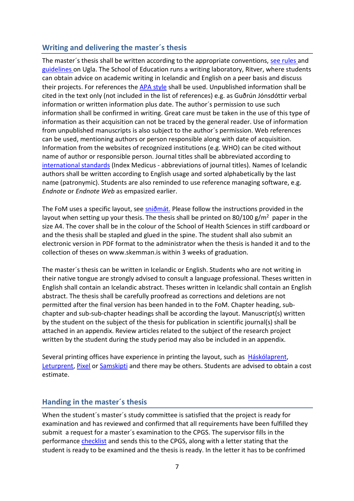#### Writing and delivering the master´s thesis

The master's thesis shall be written according to the appropriate conventions, see rules and guidelines on Ugla. The School of Education runs a writing laboratory, Ritver, where students can obtain advice on academic writing in Icelandic and English on a peer basis and discuss their projects. For references the APA style shall be used. Unpublished information shall be cited in the text only (not included in the list of references) e.g. as Guðrún Jónsdóttir verbal information or written information plus date. The author´s permission to use such information shall be confirmed in writing. Great care must be taken in the use of this type of information as their acquisition can not be traced by the general reader. Use of information from unpublished manuscripts is also subject to the author´s permission. Web references can be used, mentioning authors or person responsible along with date of acquisition. Information from the websites of recognized institutions (e.g. WHO) can be cited without name of author or responsible person. Journal titles shall be abbreviated according to international standards (Index Medicus - abbreviations of journal titles). Names of Icelandic authors shall be written according to English usage and sorted alphabetically by the last name (patronymic). Students are also reminded to use reference managing software, e.g. Endnote or Endnote Web as empasized earlier.

The FoM uses a specific layout, see sniðmát. Please follow the instructions provided in the layout when setting up your thesis. The thesis shall be printed on 80/100 g/m<sup>2</sup> paper in the size A4. The cover shall be in the colour of the School of Health Sciences in stiff cardboard or and the thesis shall be stapled and glued in the spine. The student shall also submit an electronic version in PDF format to the administrator when the thesis is handed it and to the collection of theses on www.skemman.is within 3 weeks of graduation.

The master´s thesis can be written in Icelandic or English. Students who are not writing in their native tongue are strongly advised to consult a language professional. Theses written in English shall contain an Icelandic abstract. Theses written in Icelandic shall contain an English abstract. The thesis shall be carefully proofread as corrections and deletions are not permitted after the final version has been handed in to the FoM. Chapter heading, subchapter and sub-sub-chapter headings shall be according the layout. Manuscript(s) written by the student on the subject of the thesis for publication in scientific journal(s) shall be attached in an appendix. Review articles related to the subject of the research project written by the student during the study period may also be included in an appendix.

Several printing offices have experience in printing the layout, such as Háskólaprent, Leturprent, Pixel or Samskipti and there may be others. Students are advised to obtain a cost estimate.

#### Handing in the master´s thesis

When the student´s master´s study committee is satisfied that the project is ready for examination and has reviewed and confirmed that all requirements have been fulfilled they submit a request for a master´s examination to the CPGS. The supervisor fills in the performance checklist and sends this to the CPGS, along with a letter stating that the student is ready to be examined and the thesis is ready. In the letter it has to be confrimed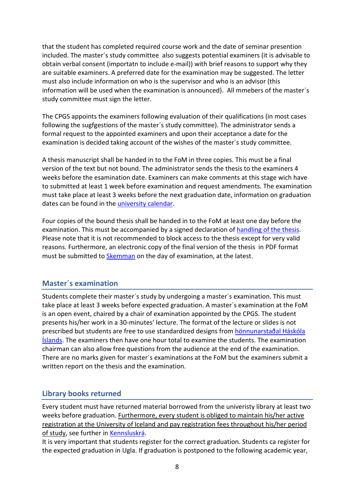that the student has completed required course work and the date of seminar presention included. The master´s study committee also suggests potential examiners (it is advisable to obtain verbal consent (importatn to include e-mail)) with brief reasons to support why they are suitable examiners. A preferred date for the examination may be suggested. The letter must also include information on who is the supervisor and who is an advisor (this information will be used when the examination is announced). All mmebers of the master´s study committee must sign the letter.

The CPGS appoints the examiners following evaluation of their qualifications (in most cases following the sugfgestions of the master´s study committee). The administrator sends a formal request to the appointed examiners and upon their acceptance a date for the examination is decided taking account of the wishes of the master´s study committee.

A thesis manuscript shall be handed in to the FoM in three copies. This must be a final version of the text but not bound. The administrator sends the thesis to the examiners 4 weeks before the esamination date. Examiners can make comments at this stage wich have to submitted at least 1 week before examination and request amendments. The examination must take place at least 3 weeks before the next graduation date, information on graduation dates can be found in the *university calendar*.

Four copies of the bound thesis shall be handed in to the FoM at least one day before the examination. This must be accompanied by a signed declaration of handling of the thesis. Please note that it is not recommended to block access to the thesis except for very valid reasons. Furthermore, an electronic copy of the final version of the thesis in PDF format must be submitted to Skemman on the day of examination, at the latest.

#### Master´s examination

Students complete their master´s study by undergoing a master´s examination. This must take place at least 3 weeks before expected graduation. A master´s examination at the FoM is an open event, chaired by a chair of examination appointed by the CPGS. The student presents his/her work in a 30-minutes' lecture. The format of the lecture or slides is not prescribed but students are free to use standardized designs from hönnunarstaðal Háskóla Íslands. The examiners then have one hour total to examine the students. The examination chairman can also allow free questions from the audience at the end of the examination. There are no marks given for master´s examinations at the FoM but the examiners submit a written report on the thesis and the examination.

# Library books returned

Every student must have returned material borrowed from the univeristy library at least two weeks before graduation. Furthermore, every student is obliged to maintain his/her active registration at the University of Iceland and pay registration fees throughout his/her period of study, see further in Kennsluskrá.

It is very important that students register for the correct graduation. Students ca register for the expected graduation in Ugla. If graduation is postponed to the following academic year,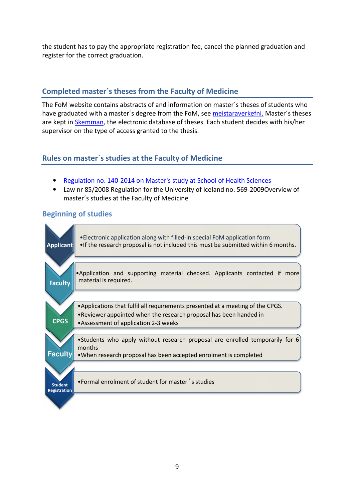the student has to pay the appropriate registration fee, cancel the planned graduation and register for the correct graduation.

# Completed master´s theses from the Faculty of Medicine

The FoM website contains abstracts of and information on master´s theses of students who have graduated with a master´s degree from the FoM, see meistaraverkefni. Master´s theses are kept in Skemman, the electronic database of theses. Each student decides with his/her supervisor on the type of access granted to the thesis.

# Rules on master´s studies at the Faculty of Medicine

- Regulation no. 140-2014 on Master's study at School of Health Sciences
- Law nr 85/2008 Regulation for the University of Iceland no. 569-2009Overview of master´s studies at the Faculty of Medicine

# Beginning of studies

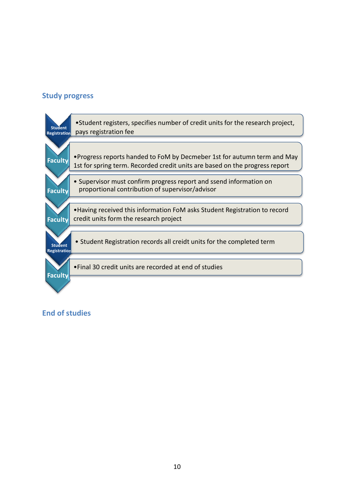#### Study progress



#### End of studies